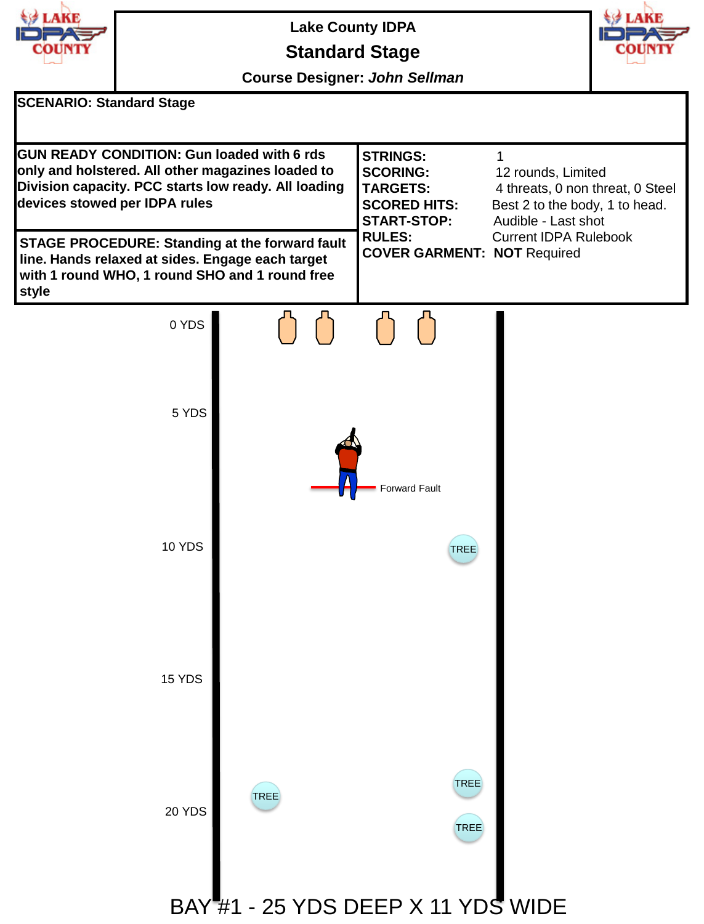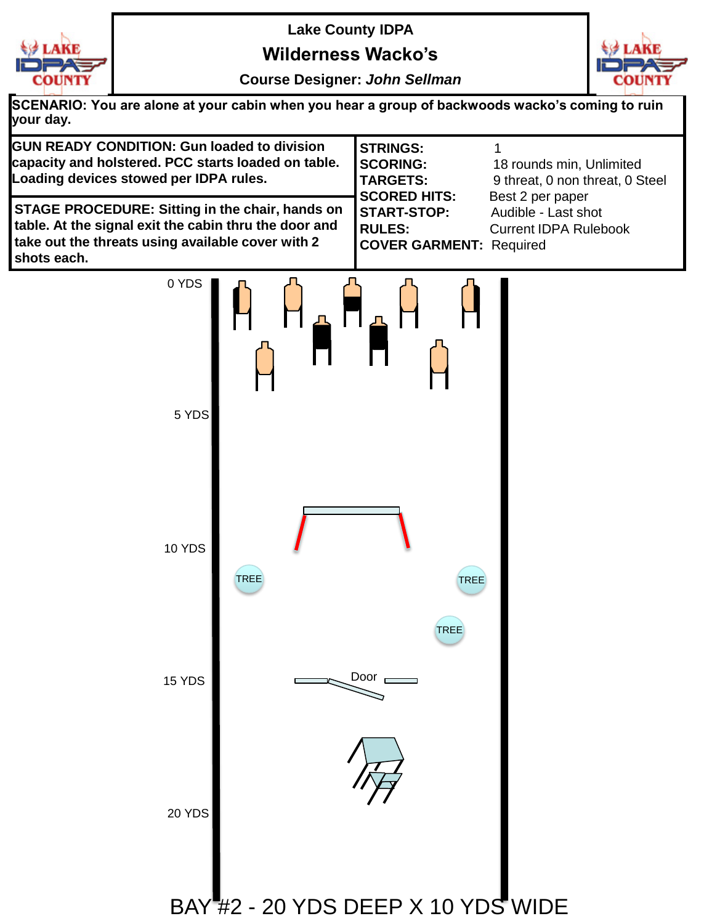

**Wilderness Wacko's**



**Course Designer:** *John Sellman*

**SCENARIO: You are alone at your cabin when you hear a group of backwoods wacko's coming to ruin your day.**

| <b>GUN READY CONDITION: Gun loaded to division</b><br>capacity and holstered. PCC starts loaded on table.<br>Loading devices stowed per IDPA rules.                                 | <b>I</b> STRINGS:<br><b>ISCORING:</b><br><b>TARGETS:</b><br><b>SCORED HITS:</b> | 18 rounds min, Unlimited<br>9 threat, 0 non threat, 0 Steel<br>Best 2 per paper |
|-------------------------------------------------------------------------------------------------------------------------------------------------------------------------------------|---------------------------------------------------------------------------------|---------------------------------------------------------------------------------|
| <b>STAGE PROCEDURE: Sitting in the chair, hands on</b><br>table. At the signal exit the cabin thru the door and<br>take out the threats using available cover with 2<br>shots each. | <b>ISTART-STOP:</b><br><b>IRULES:</b><br><b>COVER GARMENT: Required</b>         | Audible - Last shot<br><b>Current IDPA Rulebook</b>                             |

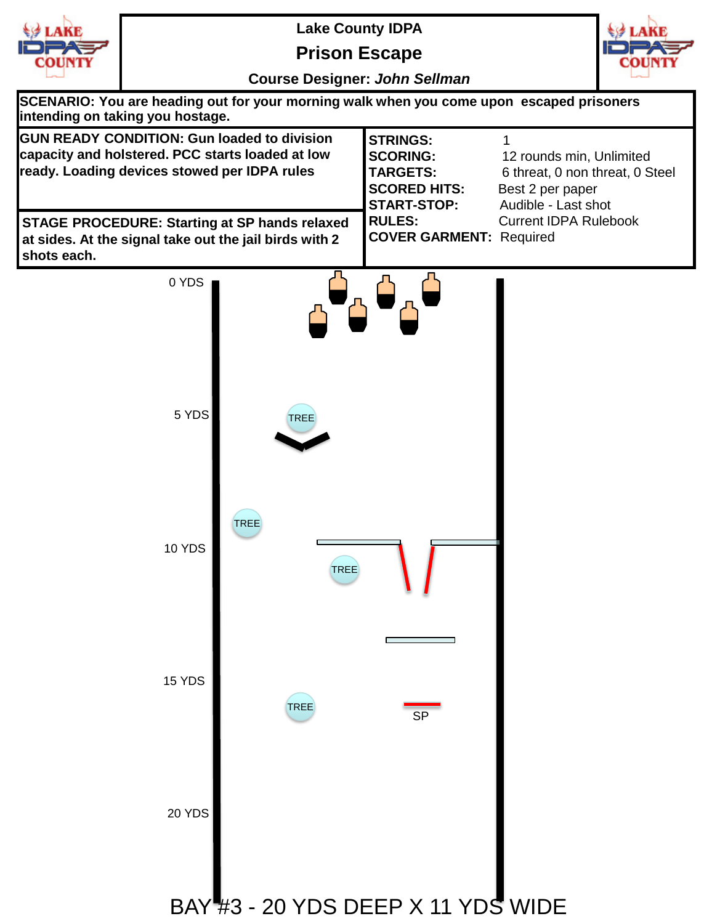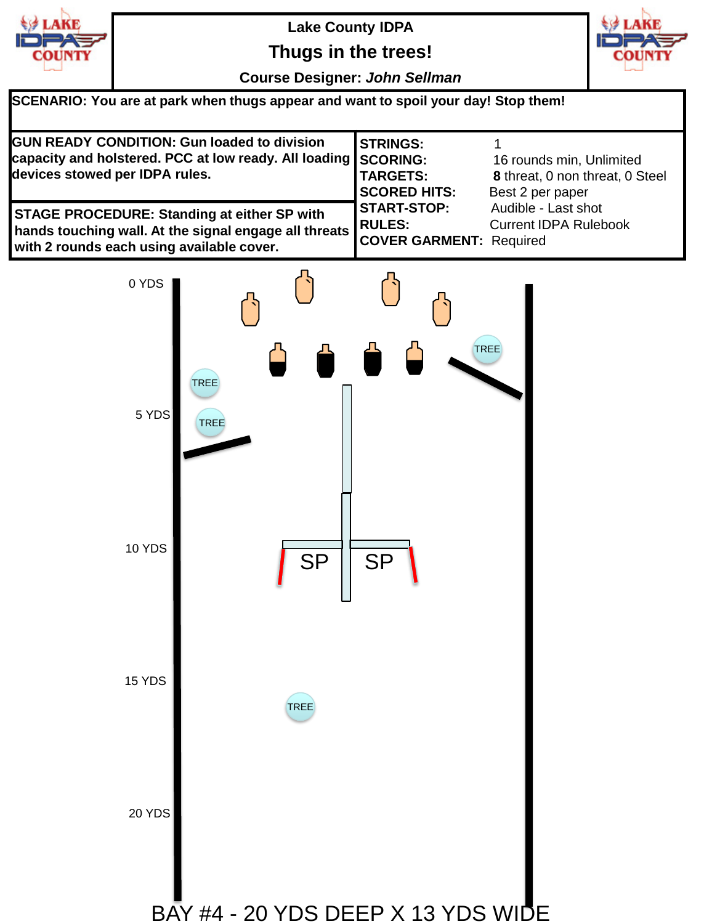

**Thugs in the trees!**



**Course Designer:** *John Sellman*

| SCENARIO: You are at park when thugs appear and want to spoil your day! Stop them!                                                                              |                                                           |                                                                                 |  |  |
|-----------------------------------------------------------------------------------------------------------------------------------------------------------------|-----------------------------------------------------------|---------------------------------------------------------------------------------|--|--|
| <b>GUN READY CONDITION: Gun loaded to division</b><br>capacity and holstered. PCC at low ready. All loading SCORING:<br>devices stowed per IDPA rules.          | <b>STRINGS:</b><br><b>TARGETS:</b><br><b>SCORED HITS:</b> | 16 rounds min, Unlimited<br>8 threat, 0 non threat, 0 Steel<br>Best 2 per paper |  |  |
| <b>STAGE PROCEDURE: Standing at either SP with</b><br>hands touching wall. At the signal engage all threats RULES:<br>with 2 rounds each using available cover. | <b>START-STOP:</b><br><b>COVER GARMENT: Required</b>      | Audible - Last shot<br><b>Current IDPA Rulebook</b>                             |  |  |

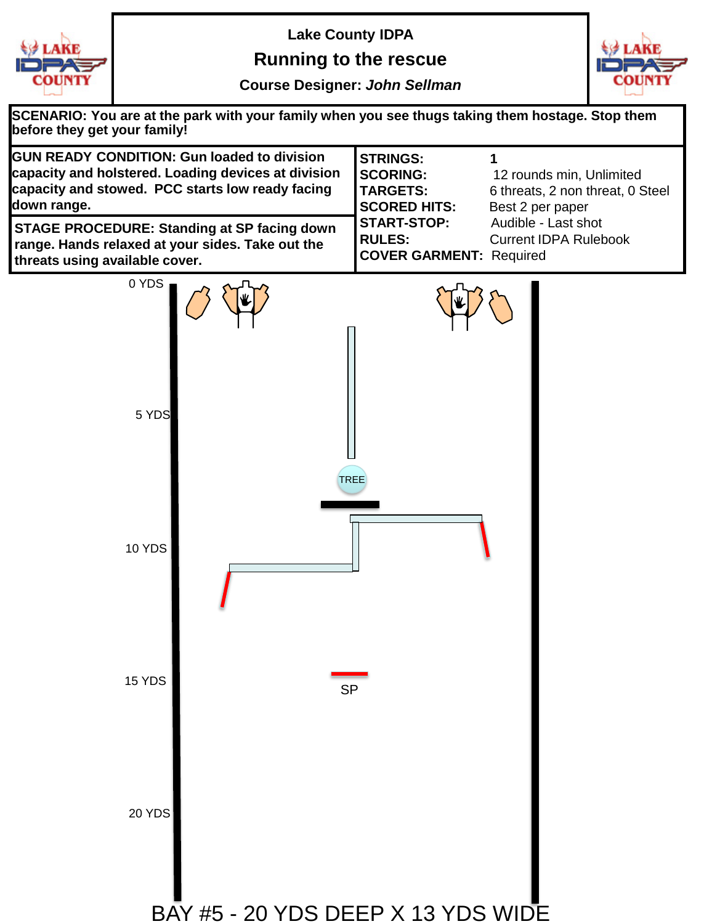

**Running to the rescue**



**Course Designer:** *John Sellman*

| SCENARIO: You are at the park with your family when you see thugs taking them hostage. Stop them<br>before they get your family!                                             |                                                                                                                                                                       |  |  |
|------------------------------------------------------------------------------------------------------------------------------------------------------------------------------|-----------------------------------------------------------------------------------------------------------------------------------------------------------------------|--|--|
| <b>GUN READY CONDITION: Gun loaded to division</b><br>capacity and holstered. Loading devices at division<br>capacity and stowed. PCC starts low ready facing<br>down range. | <b>STRINGS:</b><br>1<br><b>SCORING:</b><br>12 rounds min, Unlimited<br><b>TARGETS:</b><br>6 threats, 2 non threat, 0 Steel<br><b>SCORED HITS:</b><br>Best 2 per paper |  |  |
| <b>STAGE PROCEDURE: Standing at SP facing down</b><br>range. Hands relaxed at your sides. Take out the<br>threats using available cover.                                     | Audible - Last shot<br><b>START-STOP:</b><br><b>RULES:</b><br><b>Current IDPA Rulebook</b><br><b>COVER GARMENT: Required</b>                                          |  |  |
| 0 YDS                                                                                                                                                                        |                                                                                                                                                                       |  |  |
| 5 YDS<br><b>TREE</b>                                                                                                                                                         |                                                                                                                                                                       |  |  |
| 10 YDS                                                                                                                                                                       |                                                                                                                                                                       |  |  |
| 15 YDS<br><b>SP</b>                                                                                                                                                          |                                                                                                                                                                       |  |  |
| 20 YDS<br>BAY #5 - 20 YDS DEEP X 13 YDS WIDE                                                                                                                                 |                                                                                                                                                                       |  |  |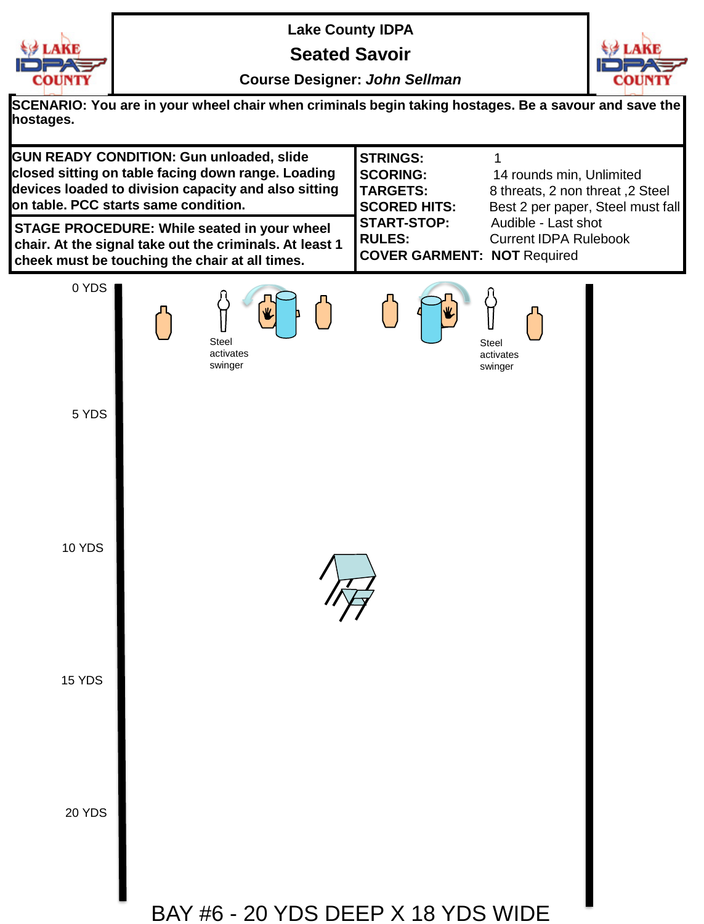

**Seated Savoir**



**Course Designer:** *John Sellman*

**SCENARIO: You are in your wheel chair when criminals begin taking hostages. Be a savour and save the hostages.**

**GUN READY CONDITION: Gun unloaded, slide closed sitting on table facing down range. Loading devices loaded to division capacity and also sitting on table. PCC starts same condition. STRINGS:** 1 **SCORING:** 14 rounds min, Unlimited **TARGETS:** 8 threats, 2 non threat ,2 Steel **SCORED HITS:** Best 2 per paper, Steel must fall **START-STOP:** Audible - Last shot **RULES:** Current IDPA Rulebook **COVER GARMENT: NOT** Required **STAGE PROCEDURE: While seated in your wheel chair. At the signal take out the criminals. At least 1 cheek must be touching the chair at all times.**